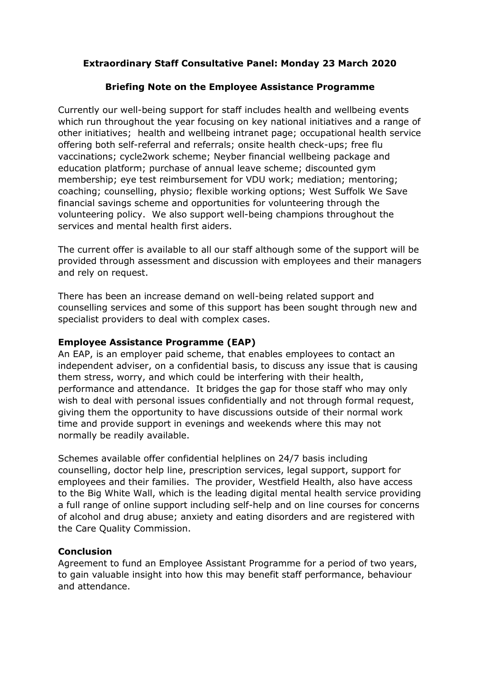## **Extraordinary Staff Consultative Panel: Monday 23 March 2020**

## **Briefing Note on the Employee Assistance Programme**

Currently our well-being support for staff includes health and wellbeing events which run throughout the year focusing on key national initiatives and a range of other initiatives; health and wellbeing intranet page; occupational health service offering both self-referral and referrals; onsite health check-ups; free flu vaccinations; cycle2work scheme; Neyber financial wellbeing package and education platform; purchase of annual leave scheme; discounted gym membership; eye test reimbursement for VDU work; mediation; mentoring; coaching; counselling, physio; flexible working options; West Suffolk We Save financial savings scheme and opportunities for volunteering through the volunteering policy. We also support well-being champions throughout the services and mental health first aiders.

The current offer is available to all our staff although some of the support will be provided through assessment and discussion with employees and their managers and rely on request.

There has been an increase demand on well-being related support and counselling services and some of this support has been sought through new and specialist providers to deal with complex cases.

## **Employee Assistance Programme (EAP)**

An EAP, is an employer paid scheme, that enables employees to contact an independent adviser, on a confidential basis, to discuss any issue that is causing them stress, worry, and which could be interfering with their health, performance and attendance. It bridges the gap for those staff who may only wish to deal with personal issues confidentially and not through formal request, giving them the opportunity to have discussions outside of their normal work time and provide support in evenings and weekends where this may not normally be readily available.

Schemes available offer confidential helplines on 24/7 basis including counselling, doctor help line, prescription services, legal support, support for employees and their families. The provider, Westfield Health, also have access to the Big White Wall, which is the leading digital mental health service providing a full range of online support including self-help and on line courses for concerns of alcohol and drug abuse; anxiety and eating disorders and are registered with the Care Quality Commission.

## **Conclusion**

Agreement to fund an Employee Assistant Programme for a period of two years, to gain valuable insight into how this may benefit staff performance, behaviour and attendance.